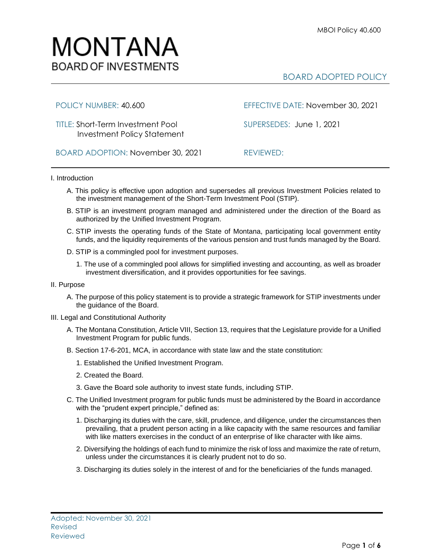

# BOARD ADOPTED POLICY

TITLE: Short-Term Investment Pool SUPERSEDES:June 1, 2021 Investment Policy Statement

POLICY NUMBER: 40.600 EFFECTIVE DATE: November 30, 2021

BOARD ADOPTION: November 30, 2021REVIEWED:

## I. Introduction

- A. This policy is effective upon adoption and supersedes all previous Investment Policies related to the investment management of the Short-Term Investment Pool (STIP).
- B. STIP is an investment program managed and administered under the direction of the Board as authorized by the Unified Investment Program.
- C. STIP invests the operating funds of the State of Montana, participating local government entity funds, and the liquidity requirements of the various pension and trust funds managed by the Board.
- D. STIP is a commingled pool for investment purposes.
	- 1. The use of a commingled pool allows for simplified investing and accounting, as well as broader investment diversification, and it provides opportunities for fee savings.

### II. Purpose

A. The purpose of this policy statement is to provide a strategic framework for STIP investments under the guidance of the Board.

### III. Legal and Constitutional Authority

- A. The Montana Constitution, Article VIII, Section 13, requires that the Legislature provide for a Unified Investment Program for public funds.
- B. Section 17-6-201, MCA, in accordance with state law and the state constitution:
	- 1. Established the Unified Investment Program.
	- 2. Created the Board.
	- 3. Gave the Board sole authority to invest state funds, including STIP.
- C. The Unified Investment program for public funds must be administered by the Board in accordance with the "prudent expert principle," defined as:
	- 1. Discharging its duties with the care, skill, prudence, and diligence, under the circumstances then prevailing, that a prudent person acting in a like capacity with the same resources and familiar with like matters exercises in the conduct of an enterprise of like character with like aims.
	- 2. Diversifying the holdings of each fund to minimize the risk of loss and maximize the rate of return, unless under the circumstances it is clearly prudent not to do so.
	- 3. Discharging its duties solely in the interest of and for the beneficiaries of the funds managed.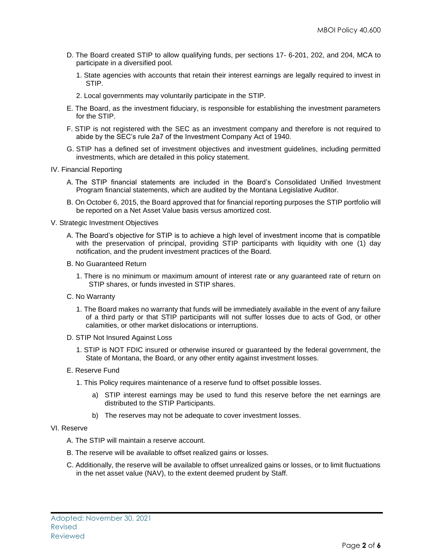- D. The Board created STIP to allow qualifying funds, per sections 17- 6-201, 202, and 204, MCA to participate in a diversified pool.
	- 1. State agencies with accounts that retain their interest earnings are legally required to invest in STIP.
	- 2. Local governments may voluntarily participate in the STIP.
- E. The Board, as the investment fiduciary, is responsible for establishing the investment parameters for the STIP.
- F. STIP is not registered with the SEC as an investment company and therefore is not required to abide by the SEC's rule 2a7 of the Investment Company Act of 1940.
- G. STIP has a defined set of investment objectives and investment guidelines, including permitted investments, which are detailed in this policy statement.
- IV. Financial Reporting
	- A. The STIP financial statements are included in the Board's Consolidated Unified Investment Program financial statements, which are audited by the Montana Legislative Auditor.
	- B. On October 6, 2015, the Board approved that for financial reporting purposes the STIP portfolio will be reported on a Net Asset Value basis versus amortized cost.
- V. Strategic Investment Objectives
	- A. The Board's objective for STIP is to achieve a high level of investment income that is compatible with the preservation of principal, providing STIP participants with liquidity with one (1) day notification, and the prudent investment practices of the Board.
	- B. No Guaranteed Return
		- 1. There is no minimum or maximum amount of interest rate or any guaranteed rate of return on STIP shares, or funds invested in STIP shares.
	- C. No Warranty
		- 1. The Board makes no warranty that funds will be immediately available in the event of any failure of a third party or that STIP participants will not suffer losses due to acts of God, or other calamities, or other market dislocations or interruptions.
	- D. STIP Not Insured Against Loss
		- 1. STIP is NOT FDIC insured or otherwise insured or guaranteed by the federal government, the State of Montana, the Board, or any other entity against investment losses.
	- E. Reserve Fund
		- 1. This Policy requires maintenance of a reserve fund to offset possible losses.
			- a) STIP interest earnings may be used to fund this reserve before the net earnings are distributed to the STIP Participants.
			- b) The reserves may not be adequate to cover investment losses.

### VI. Reserve

- A. The STIP will maintain a reserve account.
- B. The reserve will be available to offset realized gains or losses.
- C. Additionally, the reserve will be available to offset unrealized gains or losses, or to limit fluctuations in the net asset value (NAV), to the extent deemed prudent by Staff.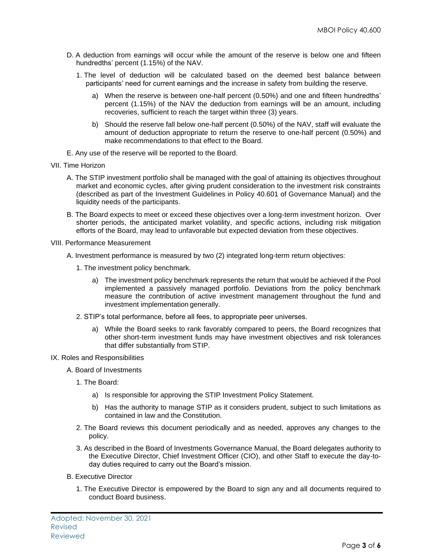- D. A deduction from earnings will occur while the amount of the reserve is below one and fifteen hundredths' percent (1.15%) of the NAV.
	- 1. The level of deduction will be calculated based on the deemed best balance between participants' need for current earnings and the increase in safety from building the reserve.
		- a) When the reserve is between one-half percent (0.50%) and one and fifteen hundredths' percent (1.15%) of the NAV the deduction from earnings will be an amount, including recoveries, sufficient to reach the target within three (3) years.
		- b) Should the reserve fall below one-half percent (0.50%) of the NAV, staff will evaluate the amount of deduction appropriate to return the reserve to one-half percent (0.50%) and make recommendations to that effect to the Board.
- E. Any use of the reserve will be reported to the Board.
- VII. Time Horizon
	- A. The STIP investment portfolio shall be managed with the goal of attaining its objectives throughout market and economic cycles, after giving prudent consideration to the investment risk constraints (described as part of the Investment Guidelines in Policy 40.601 of Governance Manual) and the liquidity needs of the participants.
	- B. The Board expects to meet or exceed these objectives over a long-term investment horizon. Over shorter periods, the anticipated market volatility, and specific actions, including risk mitigation efforts of the Board, may lead to unfavorable but expected deviation from these objectives.
- VIII. Performance Measurement
	- A. Investment performance is measured by two (2) integrated long-term return objectives:
		- 1. The investment policy benchmark.
			- a) The investment policy benchmark represents the return that would be achieved if the Pool implemented a passively managed portfolio. Deviations from the policy benchmark measure the contribution of active investment management throughout the fund and investment implementation generally.
		- 2. STIP's total performance, before all fees, to appropriate peer universes.
			- a) While the Board seeks to rank favorably compared to peers, the Board recognizes that other short-term investment funds may have investment objectives and risk tolerances that differ substantially from STIP.
- IX. Roles and Responsibilities
	- A. Board of Investments
		- 1. The Board:
			- a) Is responsible for approving the STIP Investment Policy Statement.
			- b) Has the authority to manage STIP as it considers prudent, subject to such limitations as contained in law and the Constitution.
		- 2. The Board reviews this document periodically and as needed, approves any changes to the policy.
		- 3. As described in the Board of Investments Governance Manual, the Board delegates authority to the Executive Director, Chief Investment Officer (CIO), and other Staff to execute the day-today duties required to carry out the Board's mission.
	- B. Executive Director
		- 1. The Executive Director is empowered by the Board to sign any and all documents required to conduct Board business.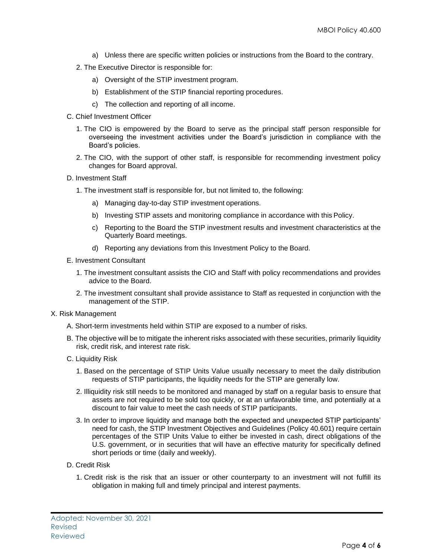- a) Unless there are specific written policies or instructions from the Board to the contrary.
- 2. The Executive Director is responsible for:
	- a) Oversight of the STIP investment program.
	- b) Establishment of the STIP financial reporting procedures.
	- c) The collection and reporting of all income.
- C. Chief Investment Officer
	- 1. The CIO is empowered by the Board to serve as the principal staff person responsible for overseeing the investment activities under the Board's jurisdiction in compliance with the Board's policies.
	- 2. The CIO, with the support of other staff, is responsible for recommending investment policy changes for Board approval.
- D. Investment Staff
	- 1. The investment staff is responsible for, but not limited to, the following:
		- a) Managing day-to-day STIP investment operations.
		- b) Investing STIP assets and monitoring compliance in accordance with this Policy.
		- c) Reporting to the Board the STIP investment results and investment characteristics at the Quarterly Board meetings.
		- d) Reporting any deviations from this Investment Policy to the Board.
- E. Investment Consultant
	- 1. The investment consultant assists the CIO and Staff with policy recommendations and provides advice to the Board.
	- 2. The investment consultant shall provide assistance to Staff as requested in conjunction with the management of the STIP.
- X. Risk Management
	- A. Short-term investments held within STIP are exposed to a number of risks.
	- B. The objective will be to mitigate the inherent risks associated with these securities, primarily liquidity risk, credit risk, and interest rate risk.
	- C. Liquidity Risk
		- 1. Based on the percentage of STIP Units Value usually necessary to meet the daily distribution requests of STIP participants, the liquidity needs for the STIP are generally low.
		- 2. Illiquidity risk still needs to be monitored and managed by staff on a regular basis to ensure that assets are not required to be sold too quickly, or at an unfavorable time, and potentially at a discount to fair value to meet the cash needs of STIP participants.
		- 3. In order to improve liquidity and manage both the expected and unexpected STIP participants' need for cash, the STIP Investment Objectives and Guidelines (Policy 40.601) require certain percentages of the STIP Units Value to either be invested in cash, direct obligations of the U.S. government, or in securities that will have an effective maturity for specifically defined short periods or time (daily and weekly).
	- D. Credit Risk
		- 1. Credit risk is the risk that an issuer or other counterparty to an investment will not fulfill its obligation in making full and timely principal and interest payments.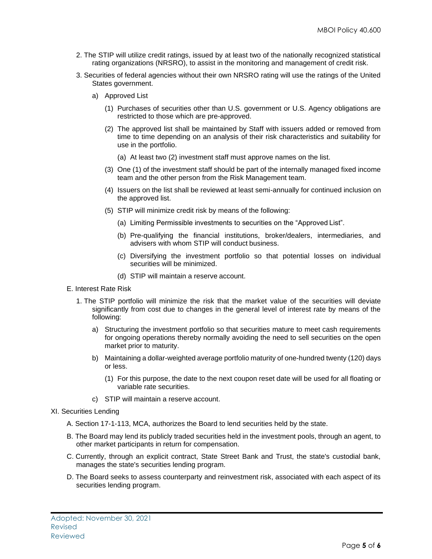- 2. The STIP will utilize credit ratings, issued by at least two of the nationally recognized statistical rating organizations (NRSRO), to assist in the monitoring and management of credit risk.
- 3. Securities of federal agencies without their own NRSRO rating will use the ratings of the United States government.
	- a) Approved List
		- (1) Purchases of securities other than U.S. government or U.S. Agency obligations are restricted to those which are pre-approved.
		- (2) The approved list shall be maintained by Staff with issuers added or removed from time to time depending on an analysis of their risk characteristics and suitability for use in the portfolio.
			- (a) At least two (2) investment staff must approve names on the list.
		- (3) One (1) of the investment staff should be part of the internally managed fixed income team and the other person from the Risk Management team.
		- (4) Issuers on the list shall be reviewed at least semi-annually for continued inclusion on the approved list.
		- (5) STIP will minimize credit risk by means of the following:
			- (a) Limiting Permissible investments to securities on the "Approved List".
			- (b) Pre-qualifying the financial institutions, broker/dealers, intermediaries, and advisers with whom STIP will conduct business.
			- (c) Diversifying the investment portfolio so that potential losses on individual securities will be minimized.
			- (d) STIP will maintain a reserve account.
- E. Interest Rate Risk
	- 1. The STIP portfolio will minimize the risk that the market value of the securities will deviate significantly from cost due to changes in the general level of interest rate by means of the following:
		- a) Structuring the investment portfolio so that securities mature to meet cash requirements for ongoing operations thereby normally avoiding the need to sell securities on the open market prior to maturity.
		- b) Maintaining a dollar-weighted average portfolio maturity of one-hundred twenty (120) days or less.
			- (1) For this purpose, the date to the next coupon reset date will be used for all floating or variable rate securities.
		- c) STIP will maintain a reserve account.
- XI. Securities Lending
	- A. Section 17-1-113, MCA, authorizes the Board to lend securities held by the state.
	- B. The Board may lend its publicly traded securities held in the investment pools, through an agent, to other market participants in return for compensation.
	- C. Currently, through an explicit contract, State Street Bank and Trust, the state's custodial bank, manages the state's securities lending program.
	- D. The Board seeks to assess counterparty and reinvestment risk, associated with each aspect of its securities lending program.